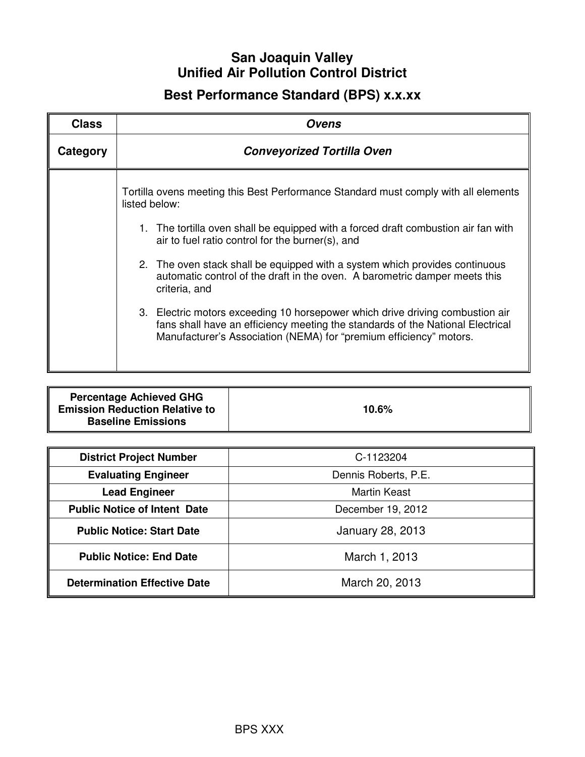## **San Joaquin Valley Unified Air Pollution Control District**

# **Best Performance Standard (BPS) x.x.xx**

| <b>Class</b> | Ovens                                                                                                                                                                                                                                 |  |
|--------------|---------------------------------------------------------------------------------------------------------------------------------------------------------------------------------------------------------------------------------------|--|
| Category     | <b>Conveyorized Tortilla Oven</b>                                                                                                                                                                                                     |  |
|              | Tortilla ovens meeting this Best Performance Standard must comply with all elements<br>listed below:                                                                                                                                  |  |
|              | 1. The tortilla oven shall be equipped with a forced draft combustion air fan with<br>air to fuel ratio control for the burner(s), and                                                                                                |  |
|              | 2. The oven stack shall be equipped with a system which provides continuous<br>automatic control of the draft in the oven. A barometric damper meets this<br>criteria, and                                                            |  |
|              | 3. Electric motors exceeding 10 horsepower which drive driving combustion air<br>fans shall have an efficiency meeting the standards of the National Electrical<br>Manufacturer's Association (NEMA) for "premium efficiency" motors. |  |

| <b>Percentage Achieved GHG</b><br><b>Emission Reduction Relative to</b> | 10.6% |
|-------------------------------------------------------------------------|-------|
| <b>Baseline Emissions</b>                                               |       |

| <b>District Project Number</b>      | C-1123204               |
|-------------------------------------|-------------------------|
| <b>Evaluating Engineer</b>          | Dennis Roberts, P.E.    |
| <b>Lead Engineer</b>                | <b>Martin Keast</b>     |
| <b>Public Notice of Intent Date</b> | December 19, 2012       |
| <b>Public Notice: Start Date</b>    | <b>January 28, 2013</b> |
| <b>Public Notice: End Date</b>      | March 1, 2013           |
| <b>Determination Effective Date</b> | March 20, 2013          |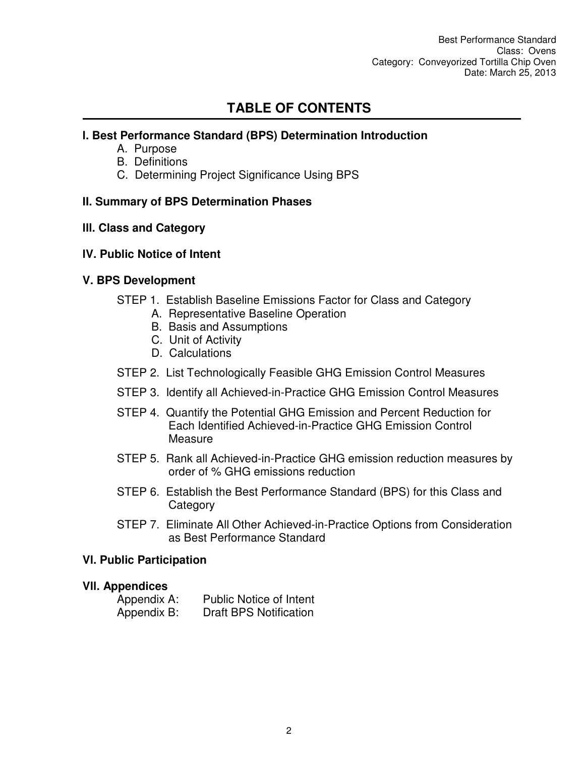## **TABLE OF CONTENTS**

## **l. Best Performance Standard (BPS) Determination Introduction**

- A. Purpose
- B. Definitions
- C. Determining Project Significance Using BPS

## **II. Summary of BPS Determination Phases**

## **lll. Class and Category**

## **lV. Public Notice of Intent**

## **V. BPS Development**

- STEP 1. Establish Baseline Emissions Factor for Class and Category
	- A. Representative Baseline Operation
	- B. Basis and Assumptions
	- C. Unit of Activity
	- D. Calculations
- STEP 2. List Technologically Feasible GHG Emission Control Measures
- STEP 3. Identify all Achieved-in-Practice GHG Emission Control Measures
- STEP 4. Quantify the Potential GHG Emission and Percent Reduction for Each Identified Achieved-in-Practice GHG Emission Control **Measure**
- STEP 5. Rank all Achieved-in-Practice GHG emission reduction measures by order of % GHG emissions reduction
- STEP 6. Establish the Best Performance Standard (BPS) for this Class and **Category**
- STEP 7. Eliminate All Other Achieved-in-Practice Options from Consideration as Best Performance Standard

#### **Vl. Public Participation**

#### **Vll. Appendices**

| Appendix A: | <b>Public Notice of Intent</b> |
|-------------|--------------------------------|
| Appendix B: | <b>Draft BPS Notification</b>  |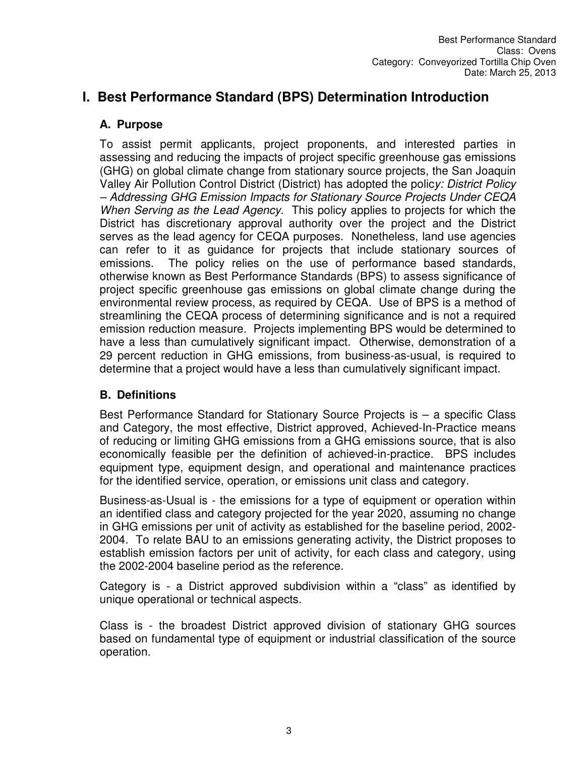## **I. Best Performance Standard (BPS) Determination Introduction**

## **A. Purpose**

To assist permit applicants, project proponents, and interested parties in assessing and reducing the impacts of project specific greenhouse gas emissions (GHG) on global climate change from stationary source projects, the San Joaquin Valley Air Pollution Control District (District) has adopted the polic*y: District Policy – Addressing GHG Emission Impacts for Stationary Source Projects Under CEQA When Serving as the Lead Agency.* This policy applies to projects for which the District has discretionary approval authority over the project and the District serves as the lead agency for CEQA purposes. Nonetheless, land use agencies can refer to it as guidance for projects that include stationary sources of emissions. The policy relies on the use of performance based standards, otherwise known as Best Performance Standards (BPS) to assess significance of project specific greenhouse gas emissions on global climate change during the environmental review process, as required by CEQA. Use of BPS is a method of streamlining the CEQA process of determining significance and is not a required emission reduction measure. Projects implementing BPS would be determined to have a less than cumulatively significant impact. Otherwise, demonstration of a 29 percent reduction in GHG emissions, from business-as-usual, is required to determine that a project would have a less than cumulatively significant impact.

## **B. Definitions**

Best Performance Standard for Stationary Source Projects is – a specific Class and Category, the most effective, District approved, Achieved-In-Practice means of reducing or limiting GHG emissions from a GHG emissions source, that is also economically feasible per the definition of achieved-in-practice. BPS includes equipment type, equipment design, and operational and maintenance practices for the identified service, operation, or emissions unit class and category.

Business-as-Usual is - the emissions for a type of equipment or operation within an identified class and category projected for the year 2020, assuming no change in GHG emissions per unit of activity as established for the baseline period, 2002- 2004. To relate BAU to an emissions generating activity, the District proposes to establish emission factors per unit of activity, for each class and category, using the 2002-2004 baseline period as the reference.

Category is - a District approved subdivision within a "class" as identified by unique operational or technical aspects.

Class is - the broadest District approved division of stationary GHG sources based on fundamental type of equipment or industrial classification of the source operation.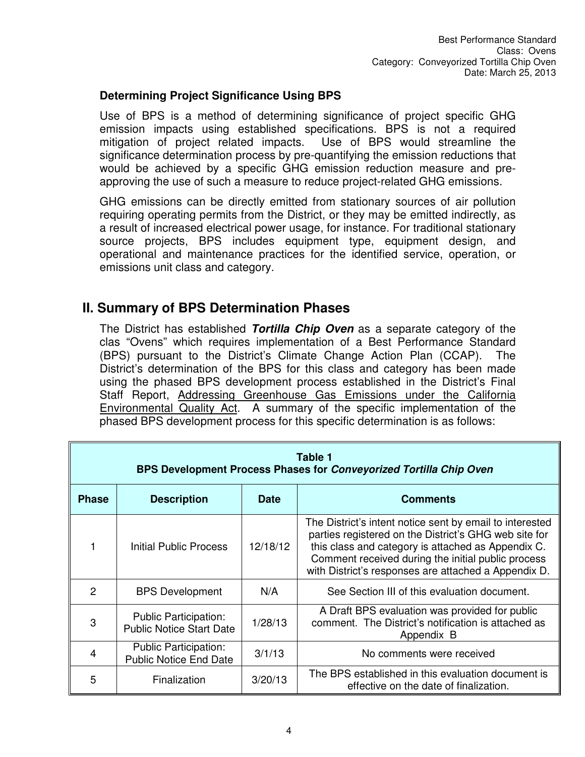#### **Determining Project Significance Using BPS**

Use of BPS is a method of determining significance of project specific GHG emission impacts using established specifications. BPS is not a required mitigation of project related impacts. Use of BPS would streamline the significance determination process by pre-quantifying the emission reductions that would be achieved by a specific GHG emission reduction measure and preapproving the use of such a measure to reduce project-related GHG emissions.

GHG emissions can be directly emitted from stationary sources of air pollution requiring operating permits from the District, or they may be emitted indirectly, as a result of increased electrical power usage, for instance. For traditional stationary source projects, BPS includes equipment type, equipment design, and operational and maintenance practices for the identified service, operation, or emissions unit class and category.

## **II. Summary of BPS Determination Phases**

The District has established *Tortilla Chip Oven* as a separate category of the clas "Ovens" which requires implementation of a Best Performance Standard (BPS) pursuant to the District's Climate Change Action Plan (CCAP). The District's determination of the BPS for this class and category has been made using the phased BPS development process established in the District's Final Staff Report, Addressing Greenhouse Gas Emissions under the California Environmental Quality Act. A summary of the specific implementation of the phased BPS development process for this specific determination is as follows:

| Table 1<br>BPS Development Process Phases for Conveyorized Tortilla Chip Oven |                                                                 |             |                                                                                                                                                                                                                                                                                       |
|-------------------------------------------------------------------------------|-----------------------------------------------------------------|-------------|---------------------------------------------------------------------------------------------------------------------------------------------------------------------------------------------------------------------------------------------------------------------------------------|
| <b>Phase</b>                                                                  | <b>Description</b>                                              | <b>Date</b> | <b>Comments</b>                                                                                                                                                                                                                                                                       |
|                                                                               | Initial Public Process                                          | 12/18/12    | The District's intent notice sent by email to interested<br>parties registered on the District's GHG web site for<br>this class and category is attached as Appendix C.<br>Comment received during the initial public process<br>with District's responses are attached a Appendix D. |
| $\mathcal{P}$                                                                 | <b>BPS Development</b>                                          | N/A         | See Section III of this evaluation document.                                                                                                                                                                                                                                          |
| 3                                                                             | <b>Public Participation:</b><br><b>Public Notice Start Date</b> | 1/28/13     | A Draft BPS evaluation was provided for public<br>comment. The District's notification is attached as<br>Appendix B                                                                                                                                                                   |
| 4                                                                             | <b>Public Participation:</b><br><b>Public Notice End Date</b>   | 3/1/13      | No comments were received                                                                                                                                                                                                                                                             |
| 5                                                                             | Finalization                                                    | 3/20/13     | The BPS established in this evaluation document is<br>effective on the date of finalization.                                                                                                                                                                                          |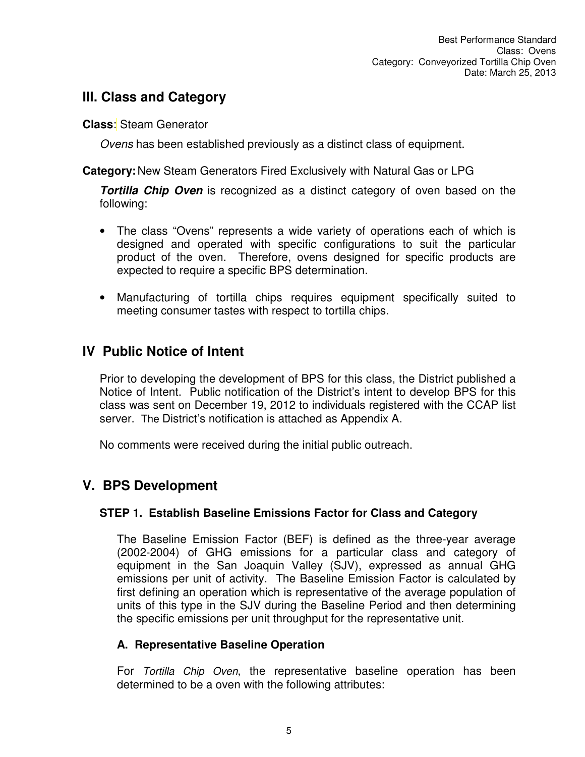## **III. Class and Category**

**Class**: Steam Generator

*Ovens* has been established previously as a distinct class of equipment.

**Category:** New Steam Generators Fired Exclusively with Natural Gas or LPG

*Tortilla Chip Oven* is recognized as a distinct category of oven based on the following:

- The class "Ovens" represents a wide variety of operations each of which is designed and operated with specific configurations to suit the particular product of the oven. Therefore, ovens designed for specific products are expected to require a specific BPS determination.
- Manufacturing of tortilla chips requires equipment specifically suited to meeting consumer tastes with respect to tortilla chips.

## **IV Public Notice of Intent**

Prior to developing the development of BPS for this class, the District published a Notice of Intent. Public notification of the District's intent to develop BPS for this class was sent on December 19, 2012 to individuals registered with the CCAP list server. The District's notification is attached as Appendix A.

No comments were received during the initial public outreach.

## **V. BPS Development**

## **STEP 1. Establish Baseline Emissions Factor for Class and Category**

The Baseline Emission Factor (BEF) is defined as the three-year average (2002-2004) of GHG emissions for a particular class and category of equipment in the San Joaquin Valley (SJV), expressed as annual GHG emissions per unit of activity. The Baseline Emission Factor is calculated by first defining an operation which is representative of the average population of units of this type in the SJV during the Baseline Period and then determining the specific emissions per unit throughput for the representative unit.

## **A. Representative Baseline Operation**

For *Tortilla Chip Oven*, the representative baseline operation has been determined to be a oven with the following attributes: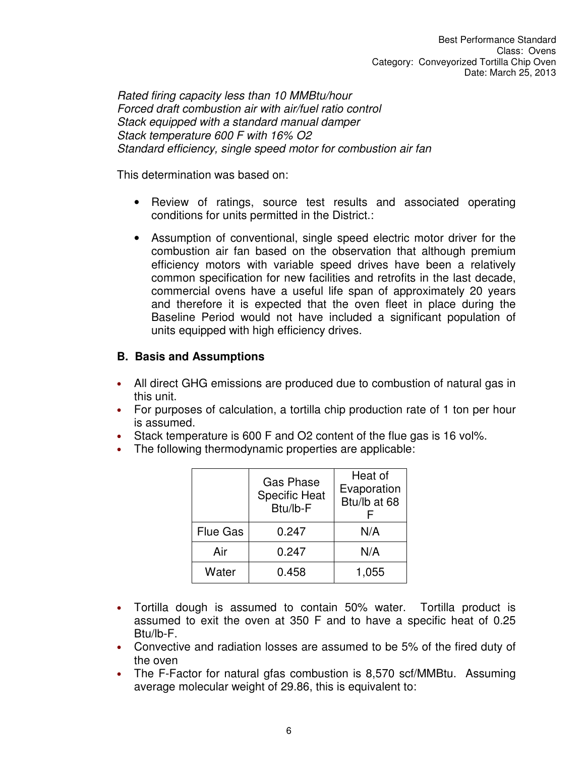*Rated firing capacity less than 10 MMBtu/hour Forced draft combustion air with air/fuel ratio control Stack equipped with a standard manual damper Stack temperature 600 F with 16% O2 Standard efficiency, single speed motor for combustion air fan* 

This determination was based on:

- Review of ratings, source test results and associated operating conditions for units permitted in the District.:
- Assumption of conventional, single speed electric motor driver for the combustion air fan based on the observation that although premium efficiency motors with variable speed drives have been a relatively common specification for new facilities and retrofits in the last decade, commercial ovens have a useful life span of approximately 20 years and therefore it is expected that the oven fleet in place during the Baseline Period would not have included a significant population of units equipped with high efficiency drives.

#### **B. Basis and Assumptions**

- All direct GHG emissions are produced due to combustion of natural gas in this unit.
- For purposes of calculation, a tortilla chip production rate of 1 ton per hour is assumed.
- Stack temperature is 600 F and O2 content of the flue gas is 16 vol%.
- The following thermodynamic properties are applicable:

|                 | <b>Gas Phase</b><br><b>Specific Heat</b><br>Btu/lb-F | Heat of<br>Evaporation<br>Btu/lb at 68 |
|-----------------|------------------------------------------------------|----------------------------------------|
| <b>Flue Gas</b> | 0.247                                                | N/A                                    |
| Air             | 0.247                                                | N/A                                    |
| Water           | 0.458                                                | 1,055                                  |

- Tortilla dough is assumed to contain 50% water. Tortilla product is assumed to exit the oven at 350 F and to have a specific heat of 0.25 Btu/lb-F.
- Convective and radiation losses are assumed to be 5% of the fired duty of the oven
- The F-Factor for natural gfas combustion is 8,570 scf/MMBtu. Assuming average molecular weight of 29.86, this is equivalent to: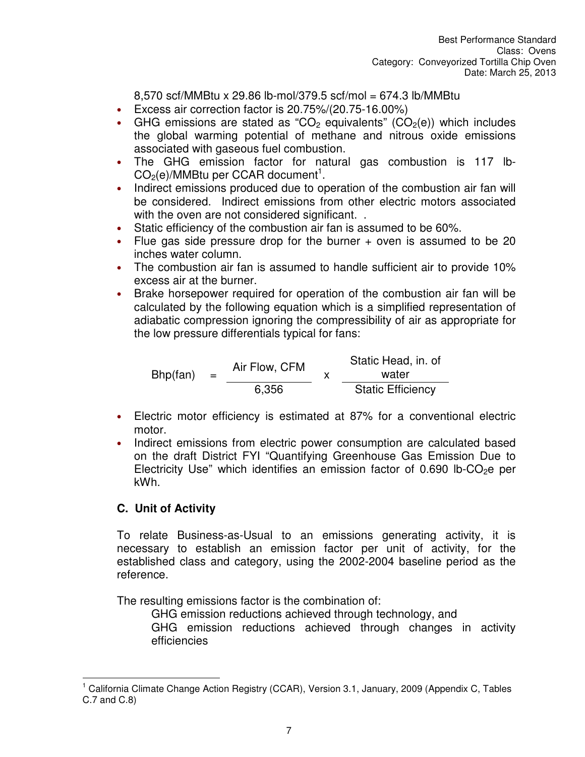8,570 scf/MMBtu x 29.86 lb-mol/379.5 scf/mol = 674.3 lb/MMBtu

- Excess air correction factor is 20.75%/(20.75-16.00%)
- GHG emissions are stated as "CO<sub>2</sub> equivalents" (CO<sub>2</sub>(e)) which includes the global warming potential of methane and nitrous oxide emissions associated with gaseous fuel combustion.
- The GHG emission factor for natural gas combustion is 117 lb- $CO<sub>2</sub>(e)/MMB$ tu per CCAR document<sup>1</sup>.
- Indirect emissions produced due to operation of the combustion air fan will be considered. Indirect emissions from other electric motors associated with the oven are not considered significant...
- Static efficiency of the combustion air fan is assumed to be 60%.
- Flue gas side pressure drop for the burner + oven is assumed to be 20 inches water column.
- The combustion air fan is assumed to handle sufficient air to provide 10% excess air at the burner.
- Brake horsepower required for operation of the combustion air fan will be calculated by the following equation which is a simplified representation of adiabatic compression ignoring the compressibility of air as appropriate for the low pressure differentials typical for fans:

 $Bhp(fan) =$ Air Flow, CFM  $\begin{array}{cc} x \end{array}$ Static Head, in. of water 6,356 Static Efficiency

- Electric motor efficiency is estimated at 87% for a conventional electric motor.
- Indirect emissions from electric power consumption are calculated based on the draft District FYI "Quantifying Greenhouse Gas Emission Due to Electricity Use" which identifies an emission factor of 0.690 lb-CO<sub>2</sub>e per kWh.

## **C. Unit of Activity**

To relate Business-as-Usual to an emissions generating activity, it is necessary to establish an emission factor per unit of activity, for the established class and category, using the 2002-2004 baseline period as the reference.

The resulting emissions factor is the combination of:

GHG emission reductions achieved through technology, and

GHG emission reductions achieved through changes in activity efficiencies

 $\overline{\phantom{a}}$ 1 California Climate Change Action Registry (CCAR), Version 3.1, January, 2009 (Appendix C, Tables C.7 and C.8)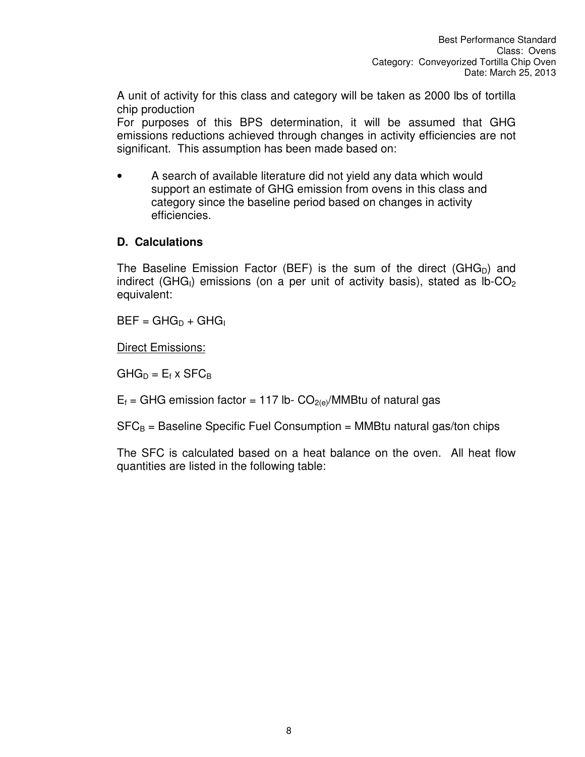A unit of activity for this class and category will be taken as 2000 lbs of tortilla chip production

For purposes of this BPS determination, it will be assumed that GHG emissions reductions achieved through changes in activity efficiencies are not significant. This assumption has been made based on:

• A search of available literature did not yield any data which would support an estimate of GHG emission from ovens in this class and category since the baseline period based on changes in activity efficiencies.

## **D. Calculations**

The Baseline Emission Factor (BEF) is the sum of the direct (GHG<sub>D</sub>) and indirect (GHG<sub>I</sub>) emissions (on a per unit of activity basis), stated as  $lb$ -CO<sub>2</sub> equivalent:

 $BEF = GHG_D + GHG$ 

Direct Emissions:

 $GHG_D = E_f \times SFC_B$ 

 $E_f$  = GHG emission factor = 117 lb-  $CO_{2(e)}/MMB$ tu of natural gas

 $SFC_B =$  Baseline Specific Fuel Consumption = MMBtu natural gas/ton chips

The SFC is calculated based on a heat balance on the oven. All heat flow quantities are listed in the following table: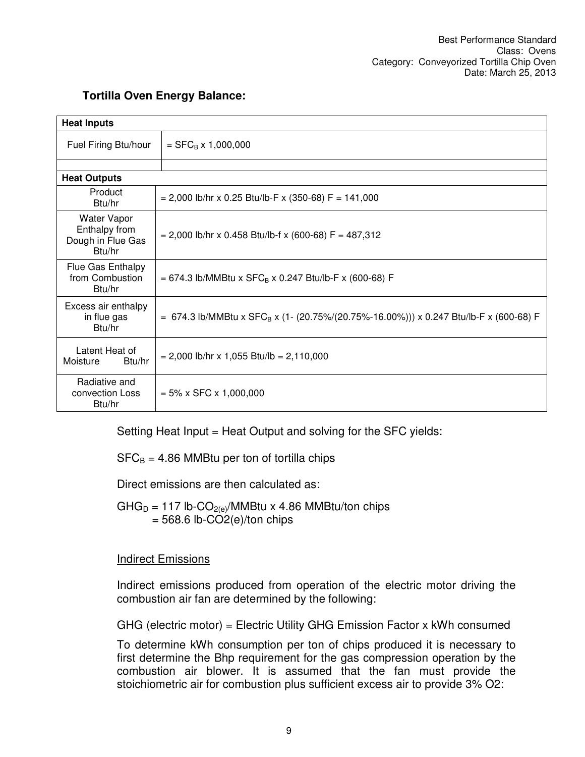| <b>Heat Inputs</b>                                                 |                                                                                                   |  |
|--------------------------------------------------------------------|---------------------------------------------------------------------------------------------------|--|
| Fuel Firing Btu/hour                                               | $=$ SFC <sub>B</sub> x 1,000,000                                                                  |  |
|                                                                    |                                                                                                   |  |
| <b>Heat Outputs</b>                                                |                                                                                                   |  |
| Product<br>Btu/hr                                                  | $= 2,000$ lb/hr x 0.25 Btu/lb-F x (350-68) F = 141,000                                            |  |
| <b>Water Vapor</b><br>Enthalpy from<br>Dough in Flue Gas<br>Btu/hr | $= 2,000$ lb/hr x 0.458 Btu/lb-f x (600-68) F = 487,312                                           |  |
| Flue Gas Enthalpy<br>from Combustion<br>Btu/hr                     | = 674.3 lb/MMBtu x $SFC_B$ x 0.247 Btu/lb-F x (600-68) F                                          |  |
| Excess air enthalpy<br>in flue gas<br>Btu/hr                       | = 674.3 lb/MMBtu x SFC <sub>B</sub> x (1- (20.75%/(20.75%-16.00%))) x 0.247 Btu/lb-F x (600-68) F |  |
| Latent Heat of<br>Moisture<br>Btu/hr                               | $= 2,000$ lb/hr x 1,055 Btu/lb = 2,110,000                                                        |  |
| Radiative and<br>convection Loss<br>Btu/hr                         | $= 5\% \times$ SFC $\times$ 1,000,000                                                             |  |

## **Tortilla Oven Energy Balance:**

Setting Heat Input = Heat Output and solving for the SFC yields:

 $SFC_B = 4.86$  MMBtu per ton of tortilla chips

Direct emissions are then calculated as:

 $GHG_D = 117$  lb-CO<sub>2(e)</sub>/MMBtu x 4.86 MMBtu/ton chips  $= 568.6$  lb-CO2(e)/ton chips

## Indirect Emissions

Indirect emissions produced from operation of the electric motor driving the combustion air fan are determined by the following:

GHG (electric motor) = Electric Utility GHG Emission Factor x kWh consumed

To determine kWh consumption per ton of chips produced it is necessary to first determine the Bhp requirement for the gas compression operation by the combustion air blower. It is assumed that the fan must provide the stoichiometric air for combustion plus sufficient excess air to provide 3% O2: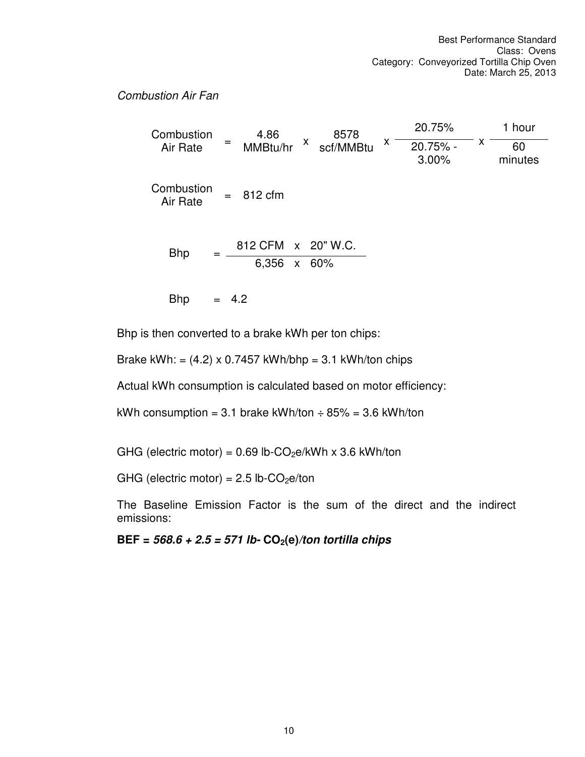#### *Combustion Air Fan*

**Combustion Air Rate** 4.86 MMBtu/hr  $x$ 8578 scf/MMBtu x 20.75%  $x -$ 1 hour 20.75% - 3.00% 60 minutes **Combustion**  $\Delta$ ir Rate  $\Delta$  = 812 cfm Bhp  $=$   $\frac{812 \text{ CFM} \times 20^{\circ} \text{W.C.}}{}$ 6,356 x 60% Bhp  $= 4.2$ 

Bhp is then converted to a brake kWh per ton chips:

Brake kWh: =  $(4.2) \times 0.7457$  kWh/bhp = 3.1 kWh/ton chips

Actual kWh consumption is calculated based on motor efficiency:

kWh consumption = 3.1 brake kWh/ton  $\div$  85% = 3.6 kWh/ton

GHG (electric motor) =  $0.69$  lb-CO<sub>2</sub>e/kWh x 3.6 kWh/ton

GHG (electric motor) =  $2.5$  lb-CO<sub>2</sub>e/ton

The Baseline Emission Factor is the sum of the direct and the indirect emissions:

**BEF =** *568.6 + 2.5 = 571 lb-* **CO2(e)***/ton tortilla chips*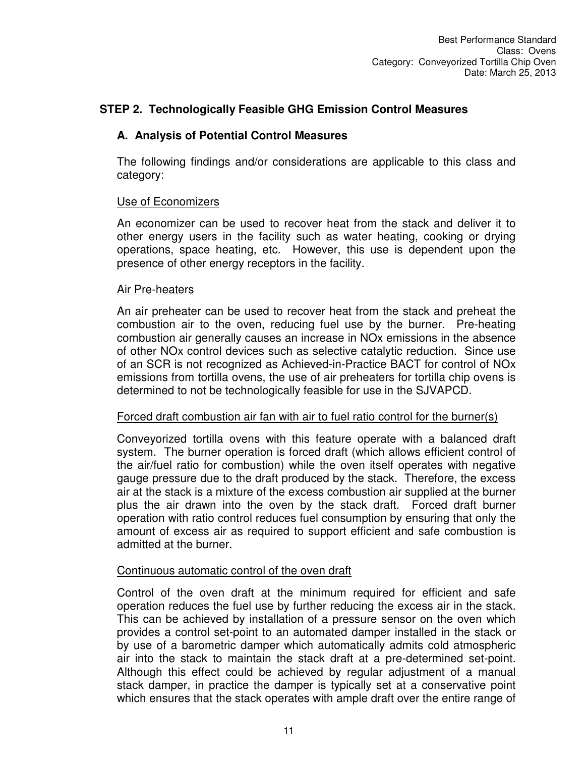## **STEP 2. Technologically Feasible GHG Emission Control Measures**

## **A. Analysis of Potential Control Measures**

The following findings and/or considerations are applicable to this class and category:

#### Use of Economizers

An economizer can be used to recover heat from the stack and deliver it to other energy users in the facility such as water heating, cooking or drying operations, space heating, etc. However, this use is dependent upon the presence of other energy receptors in the facility.

#### Air Pre-heaters

An air preheater can be used to recover heat from the stack and preheat the combustion air to the oven, reducing fuel use by the burner. Pre-heating combustion air generally causes an increase in NOx emissions in the absence of other NOx control devices such as selective catalytic reduction. Since use of an SCR is not recognized as Achieved-in-Practice BACT for control of NOx emissions from tortilla ovens, the use of air preheaters for tortilla chip ovens is determined to not be technologically feasible for use in the SJVAPCD.

#### Forced draft combustion air fan with air to fuel ratio control for the burner(s)

Conveyorized tortilla ovens with this feature operate with a balanced draft system. The burner operation is forced draft (which allows efficient control of the air/fuel ratio for combustion) while the oven itself operates with negative gauge pressure due to the draft produced by the stack. Therefore, the excess air at the stack is a mixture of the excess combustion air supplied at the burner plus the air drawn into the oven by the stack draft. Forced draft burner operation with ratio control reduces fuel consumption by ensuring that only the amount of excess air as required to support efficient and safe combustion is admitted at the burner.

#### Continuous automatic control of the oven draft

Control of the oven draft at the minimum required for efficient and safe operation reduces the fuel use by further reducing the excess air in the stack. This can be achieved by installation of a pressure sensor on the oven which provides a control set-point to an automated damper installed in the stack or by use of a barometric damper which automatically admits cold atmospheric air into the stack to maintain the stack draft at a pre-determined set-point. Although this effect could be achieved by regular adjustment of a manual stack damper, in practice the damper is typically set at a conservative point which ensures that the stack operates with ample draft over the entire range of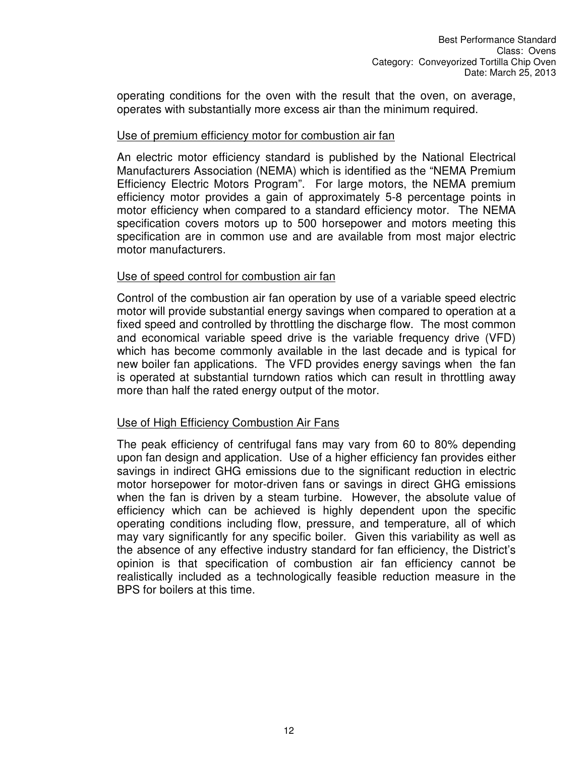operating conditions for the oven with the result that the oven, on average, operates with substantially more excess air than the minimum required.

#### Use of premium efficiency motor for combustion air fan

An electric motor efficiency standard is published by the National Electrical Manufacturers Association (NEMA) which is identified as the "NEMA Premium Efficiency Electric Motors Program". For large motors, the NEMA premium efficiency motor provides a gain of approximately 5-8 percentage points in motor efficiency when compared to a standard efficiency motor. The NEMA specification covers motors up to 500 horsepower and motors meeting this specification are in common use and are available from most major electric motor manufacturers.

#### Use of speed control for combustion air fan

Control of the combustion air fan operation by use of a variable speed electric motor will provide substantial energy savings when compared to operation at a fixed speed and controlled by throttling the discharge flow. The most common and economical variable speed drive is the variable frequency drive (VFD) which has become commonly available in the last decade and is typical for new boiler fan applications. The VFD provides energy savings when the fan is operated at substantial turndown ratios which can result in throttling away more than half the rated energy output of the motor.

#### Use of High Efficiency Combustion Air Fans

The peak efficiency of centrifugal fans may vary from 60 to 80% depending upon fan design and application. Use of a higher efficiency fan provides either savings in indirect GHG emissions due to the significant reduction in electric motor horsepower for motor-driven fans or savings in direct GHG emissions when the fan is driven by a steam turbine. However, the absolute value of efficiency which can be achieved is highly dependent upon the specific operating conditions including flow, pressure, and temperature, all of which may vary significantly for any specific boiler. Given this variability as well as the absence of any effective industry standard for fan efficiency, the District's opinion is that specification of combustion air fan efficiency cannot be realistically included as a technologically feasible reduction measure in the BPS for boilers at this time.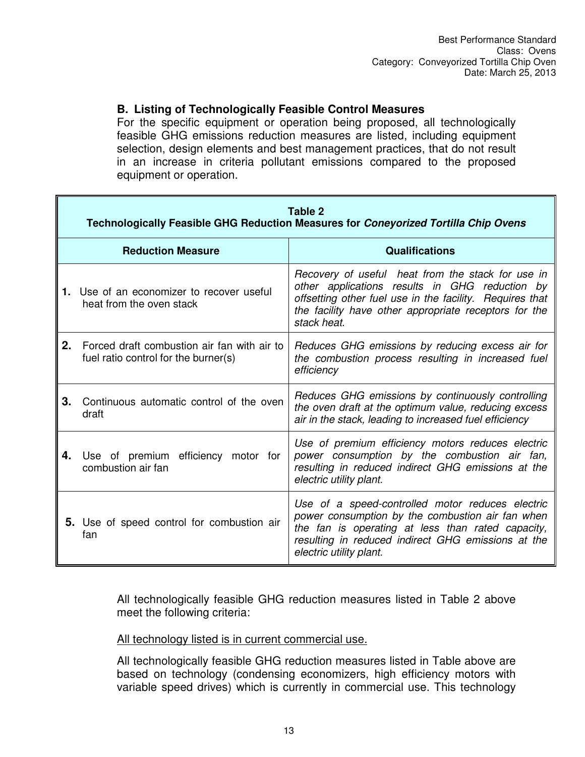#### **B. Listing of Technologically Feasible Control Measures**

For the specific equipment or operation being proposed, all technologically feasible GHG emissions reduction measures are listed, including equipment selection, design elements and best management practices, that do not result in an increase in criteria pollutant emissions compared to the proposed equipment or operation.

|    | Table 2<br>Technologically Feasible GHG Reduction Measures for Coneyorized Tortilla Chip Ovens |                                                                                                                                                                                                                                            |  |
|----|------------------------------------------------------------------------------------------------|--------------------------------------------------------------------------------------------------------------------------------------------------------------------------------------------------------------------------------------------|--|
|    | <b>Reduction Measure</b>                                                                       | <b>Qualifications</b>                                                                                                                                                                                                                      |  |
|    | 1. Use of an economizer to recover useful<br>heat from the oven stack                          | Recovery of useful heat from the stack for use in<br>other applications results in GHG reduction by<br>offsetting other fuel use in the facility. Requires that<br>the facility have other appropriate receptors for the<br>stack heat.    |  |
| 2. | Forced draft combustion air fan with air to<br>fuel ratio control for the burner(s)            | Reduces GHG emissions by reducing excess air for<br>the combustion process resulting in increased fuel<br>efficiency                                                                                                                       |  |
| 3. | Continuous automatic control of the oven<br>draft                                              | Reduces GHG emissions by continuously controlling<br>the oven draft at the optimum value, reducing excess<br>air in the stack, leading to increased fuel efficiency                                                                        |  |
| 4. | Use of premium efficiency motor for<br>combustion air fan                                      | Use of premium efficiency motors reduces electric<br>power consumption by the combustion air fan,<br>resulting in reduced indirect GHG emissions at the<br>electric utility plant.                                                         |  |
|    | 5. Use of speed control for combustion air<br>fan                                              | Use of a speed-controlled motor reduces electric<br>power consumption by the combustion air fan when<br>the fan is operating at less than rated capacity,<br>resulting in reduced indirect GHG emissions at the<br>electric utility plant. |  |

All technologically feasible GHG reduction measures listed in Table 2 above meet the following criteria:

All technology listed is in current commercial use.

All technologically feasible GHG reduction measures listed in Table above are based on technology (condensing economizers, high efficiency motors with variable speed drives) which is currently in commercial use. This technology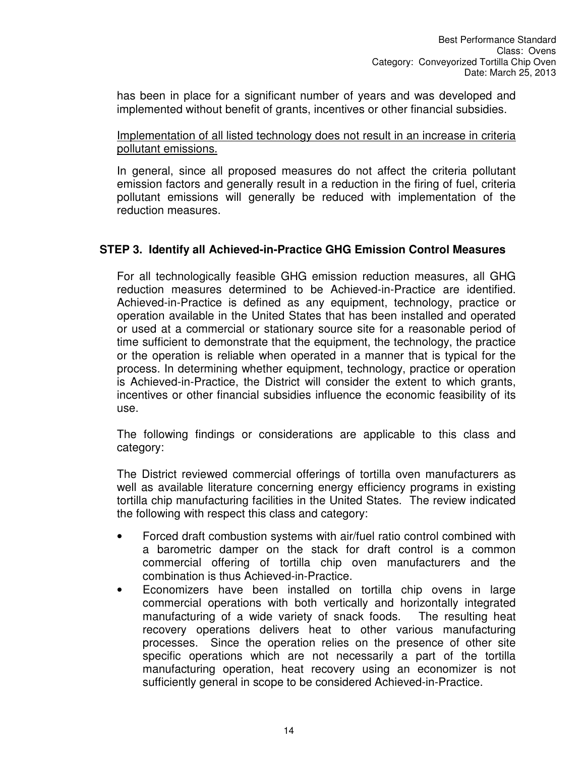has been in place for a significant number of years and was developed and implemented without benefit of grants, incentives or other financial subsidies.

#### Implementation of all listed technology does not result in an increase in criteria pollutant emissions.

In general, since all proposed measures do not affect the criteria pollutant emission factors and generally result in a reduction in the firing of fuel, criteria pollutant emissions will generally be reduced with implementation of the reduction measures.

## **STEP 3. Identify all Achieved-in-Practice GHG Emission Control Measures**

For all technologically feasible GHG emission reduction measures, all GHG reduction measures determined to be Achieved-in-Practice are identified. Achieved-in-Practice is defined as any equipment, technology, practice or operation available in the United States that has been installed and operated or used at a commercial or stationary source site for a reasonable period of time sufficient to demonstrate that the equipment, the technology, the practice or the operation is reliable when operated in a manner that is typical for the process. In determining whether equipment, technology, practice or operation is Achieved-in-Practice, the District will consider the extent to which grants, incentives or other financial subsidies influence the economic feasibility of its use.

The following findings or considerations are applicable to this class and category:

The District reviewed commercial offerings of tortilla oven manufacturers as well as available literature concerning energy efficiency programs in existing tortilla chip manufacturing facilities in the United States. The review indicated the following with respect this class and category:

- Forced draft combustion systems with air/fuel ratio control combined with a barometric damper on the stack for draft control is a common commercial offering of tortilla chip oven manufacturers and the combination is thus Achieved-in-Practice.
- Economizers have been installed on tortilla chip ovens in large commercial operations with both vertically and horizontally integrated manufacturing of a wide variety of snack foods. The resulting heat recovery operations delivers heat to other various manufacturing processes. Since the operation relies on the presence of other site specific operations which are not necessarily a part of the tortilla manufacturing operation, heat recovery using an economizer is not sufficiently general in scope to be considered Achieved-in-Practice.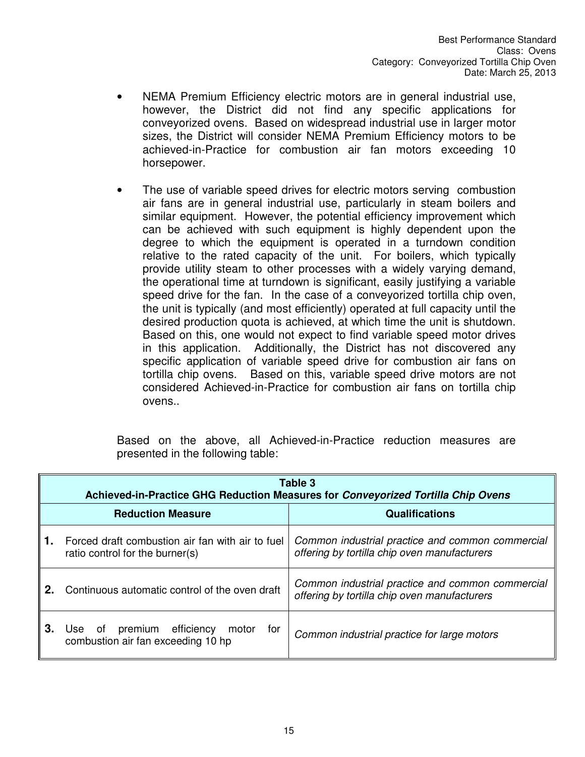- NEMA Premium Efficiency electric motors are in general industrial use, however, the District did not find any specific applications for conveyorized ovens. Based on widespread industrial use in larger motor sizes, the District will consider NEMA Premium Efficiency motors to be achieved-in-Practice for combustion air fan motors exceeding 10 horsepower.
- The use of variable speed drives for electric motors serving combustion air fans are in general industrial use, particularly in steam boilers and similar equipment. However, the potential efficiency improvement which can be achieved with such equipment is highly dependent upon the degree to which the equipment is operated in a turndown condition relative to the rated capacity of the unit. For boilers, which typically provide utility steam to other processes with a widely varying demand, the operational time at turndown is significant, easily justifying a variable speed drive for the fan. In the case of a conveyorized tortilla chip oven, the unit is typically (and most efficiently) operated at full capacity until the desired production quota is achieved, at which time the unit is shutdown. Based on this, one would not expect to find variable speed motor drives in this application. Additionally, the District has not discovered any specific application of variable speed drive for combustion air fans on tortilla chip ovens. Based on this, variable speed drive motors are not considered Achieved-in-Practice for combustion air fans on tortilla chip ovens..

Based on the above, all Achieved-in-Practice reduction measures are presented in the following table:

|    | Table 3<br>Achieved-in-Practice GHG Reduction Measures for Conveyorized Tortilla Chip Ovens |                                                                                                  |  |
|----|---------------------------------------------------------------------------------------------|--------------------------------------------------------------------------------------------------|--|
|    | <b>Reduction Measure</b>                                                                    | <b>Qualifications</b>                                                                            |  |
|    | Forced draft combustion air fan with air to fuel<br>ratio control for the burner(s)         | Common industrial practice and common commercial<br>offering by tortilla chip oven manufacturers |  |
| 2. | Continuous automatic control of the oven draft                                              | Common industrial practice and common commercial<br>offering by tortilla chip oven manufacturers |  |
| 3. | premium efficiency<br>Use of<br>motor<br>for<br>combustion air fan exceeding 10 hp          | Common industrial practice for large motors                                                      |  |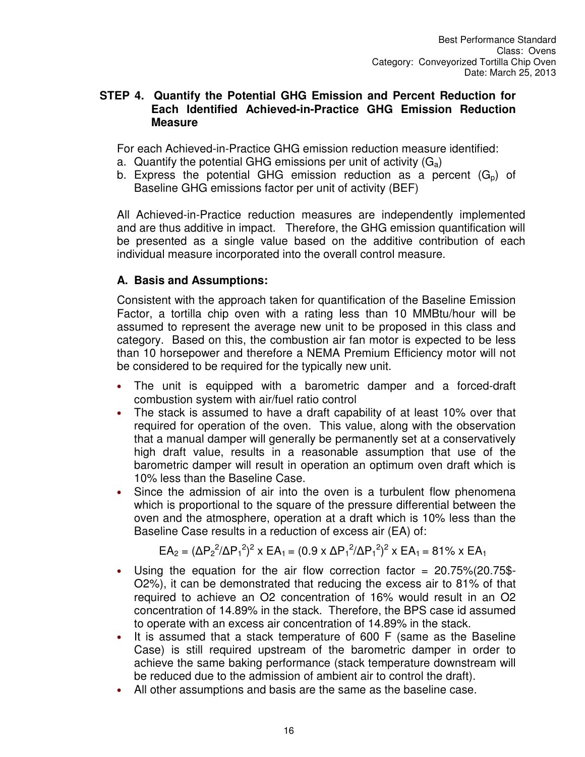#### **STEP 4. Quantify the Potential GHG Emission and Percent Reduction for Each Identified Achieved-in-Practice GHG Emission Reduction Measure**

For each Achieved-in-Practice GHG emission reduction measure identified:

- a. Quantify the potential GHG emissions per unit of activity  $(G_a)$
- b. Express the potential GHG emission reduction as a percent  $(G_n)$  of Baseline GHG emissions factor per unit of activity (BEF)

All Achieved-in-Practice reduction measures are independently implemented and are thus additive in impact. Therefore, the GHG emission quantification will be presented as a single value based on the additive contribution of each individual measure incorporated into the overall control measure.

## **A. Basis and Assumptions:**

Consistent with the approach taken for quantification of the Baseline Emission Factor, a tortilla chip oven with a rating less than 10 MMBtu/hour will be assumed to represent the average new unit to be proposed in this class and category. Based on this, the combustion air fan motor is expected to be less than 10 horsepower and therefore a NEMA Premium Efficiency motor will not be considered to be required for the typically new unit.

- The unit is equipped with a barometric damper and a forced-draft combustion system with air/fuel ratio control
- The stack is assumed to have a draft capability of at least 10% over that required for operation of the oven. This value, along with the observation that a manual damper will generally be permanently set at a conservatively high draft value, results in a reasonable assumption that use of the barometric damper will result in operation an optimum oven draft which is 10% less than the Baseline Case.
- Since the admission of air into the oven is a turbulent flow phenomena which is proportional to the square of the pressure differential between the oven and the atmosphere, operation at a draft which is 10% less than the Baseline Case results in a reduction of excess air (EA) of:

$$
EA_2 = (\Delta P_2^2/\Delta P_1^2)^2 \times EA_1 = (0.9 \times \Delta P_1^2/\Delta P_1^2)^2 \times EA_1 = 81\% \times EA_1
$$

- Using the equation for the air flow correction factor  $= 20.75\% (20.75\$ O2%), it can be demonstrated that reducing the excess air to 81% of that required to achieve an O2 concentration of 16% would result in an O2 concentration of 14.89% in the stack. Therefore, the BPS case id assumed to operate with an excess air concentration of 14.89% in the stack.
- It is assumed that a stack temperature of 600 F (same as the Baseline Case) is still required upstream of the barometric damper in order to achieve the same baking performance (stack temperature downstream will be reduced due to the admission of ambient air to control the draft).
- All other assumptions and basis are the same as the baseline case.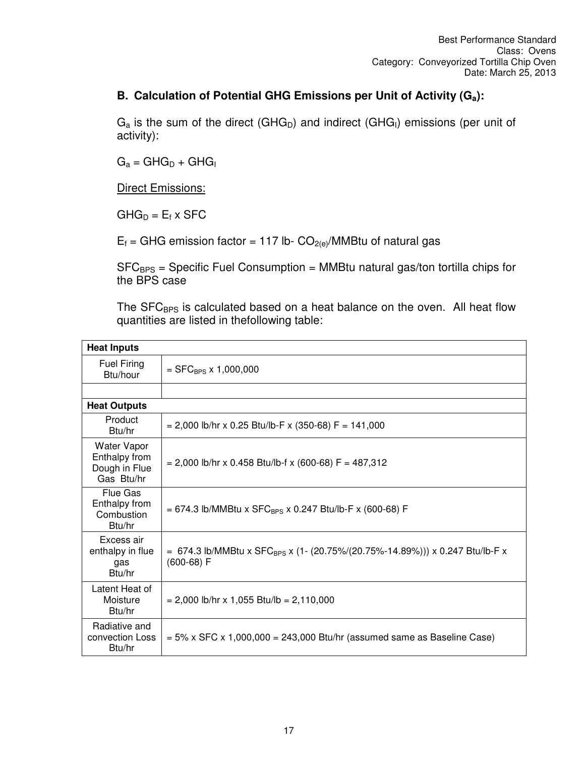## **B. Calculation of Potential GHG Emissions per Unit of Activity (Ga):**

 $G_a$  is the sum of the direct (GHG<sub>D</sub>) and indirect (GHG<sub>I</sub>) emissions (per unit of activity):

 $G_a = GHG_D + GHG_I$ 

**Direct Emissions:** 

 $GHG_D = E_f \times SFC$ 

 $E_f$  = GHG emission factor = 117 lb-  $CO_{2(e)}/MMB$ tu of natural gas

 $SFC_{BPS}$  = Specific Fuel Consumption = MMBtu natural gas/ton tortilla chips for the BPS case

The SFC<sub>BPS</sub> is calculated based on a heat balance on the oven. All heat flow quantities are listed in thefollowing table:

| <b>Heat Inputs</b>                                                 |                                                                                                          |  |
|--------------------------------------------------------------------|----------------------------------------------------------------------------------------------------------|--|
| <b>Fuel Firing</b><br>Btu/hour                                     | $=$ SFC <sub>BPS</sub> x 1,000,000                                                                       |  |
|                                                                    |                                                                                                          |  |
| <b>Heat Outputs</b>                                                |                                                                                                          |  |
| Product<br>Btu/hr                                                  | $= 2,000$ lb/hr x 0.25 Btu/lb-F x (350-68) F = 141,000                                                   |  |
| <b>Water Vapor</b><br>Enthalpy from<br>Dough in Flue<br>Gas Btu/hr | $= 2,000$ lb/hr x 0.458 Btu/lb-f x (600-68) F = 487,312                                                  |  |
| Flue Gas<br>Enthalpy from<br>Combustion<br>Btu/hr                  | = 674.3 lb/MMBtu x SFC <sub>BPS</sub> x 0.247 Btu/lb-F x (600-68) F                                      |  |
| Excess air<br>enthalpy in flue<br>gas<br>Btu/hr                    | = 674.3 lb/MMBtu x SFC <sub>BPS</sub> x (1- (20.75%/(20.75%-14.89%))) x 0.247 Btu/lb-F x<br>$(600-68) F$ |  |
| Latent Heat of<br>Moisture<br>Btu/hr                               | $= 2,000$ lb/hr x 1,055 Btu/lb = 2,110,000                                                               |  |
| Radiative and<br>convection Loss<br>Btu/hr                         | $= 5\%$ x SFC x 1,000,000 = 243,000 Btu/hr (assumed same as Baseline Case)                               |  |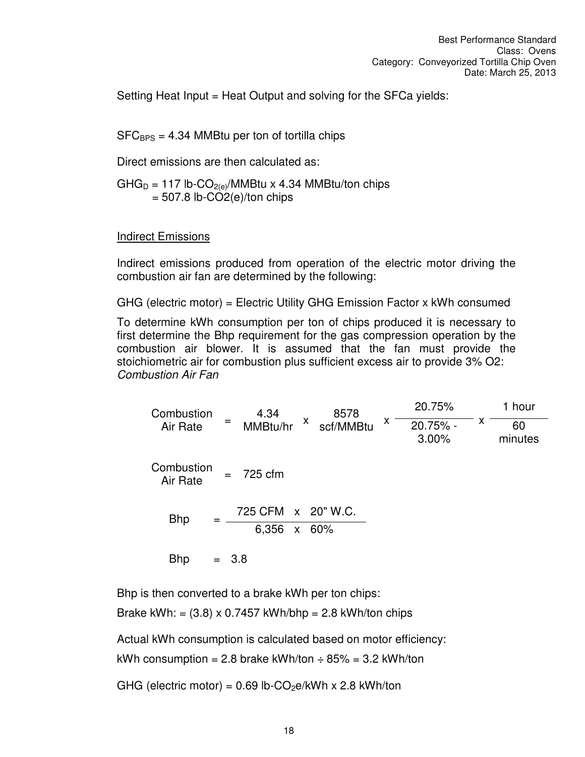Setting Heat Input = Heat Output and solving for the SFCa yields:

 $SFC_{BPS} = 4.34$  MMBtu per ton of tortilla chips

Direct emissions are then calculated as:

 $GHG_D = 117$  lb-CO<sub>2(e)</sub>/MMBtu x 4.34 MMBtu/ton chips  $= 507.8$  lb-CO2(e)/ton chips

Indirect Emissions

Indirect emissions produced from operation of the electric motor driving the combustion air fan are determined by the following:

GHG (electric motor) = Electric Utility GHG Emission Factor x kWh consumed

To determine kWh consumption per ton of chips produced it is necessary to first determine the Bhp requirement for the gas compression operation by the combustion air blower. It is assumed that the fan must provide the stoichiometric air for combustion plus sufficient excess air to provide 3% O2: *Combustion Air Fan* 

Combustion Air Rate <sup>=</sup> 4.34 MMBtu/hr <sup>x</sup> 8578 scf/MMBtu <sup>x</sup> 20.75% x 20.75% - 1 hour 3.00% 60 minutes Combustion Air Rate = 725 cfm  $Bhp = \frac{725 \text{ CFM} \times 20^{\circ} \text{W.C.}}{250 \text{ FM} \times 20^{\circ} \text{C}}$ 6,356 x 60% Bhp  $= 3.8$ 

Bhp is then converted to a brake kWh per ton chips:

Brake kWh: =  $(3.8)$  x 0.7457 kWh/bhp = 2.8 kWh/ton chips

Actual kWh consumption is calculated based on motor efficiency:

kWh consumption = 2.8 brake kWh/ton  $\div$  85% = 3.2 kWh/ton

GHG (electric motor) =  $0.69$  lb-CO<sub>2</sub>e/kWh x 2.8 kWh/ton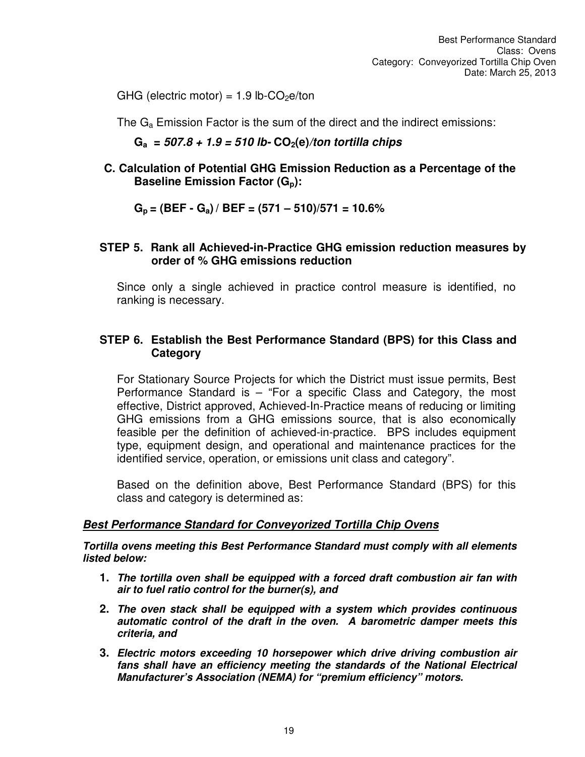GHG (electric motor) =  $1.9$  lb-CO<sub>2</sub>e/ton

The  $G_a$  Emission Factor is the sum of the direct and the indirect emissions:

**Ga =** *507.8 + 1.9 = 510 lb-* **CO2(e)***/ton tortilla chips*

**C. Calculation of Potential GHG Emission Reduction as a Percentage of the Baseline Emission Factor (Gp):** 

**Gp = (BEF - Ga) / BEF = (571 – 510)/571 = 10.6%** 

#### **STEP 5. Rank all Achieved-in-Practice GHG emission reduction measures by order of % GHG emissions reduction**

Since only a single achieved in practice control measure is identified, no ranking is necessary.

#### **STEP 6. Establish the Best Performance Standard (BPS) for this Class and Category**

For Stationary Source Projects for which the District must issue permits, Best Performance Standard is – "For a specific Class and Category, the most effective, District approved, Achieved-In-Practice means of reducing or limiting GHG emissions from a GHG emissions source, that is also economically feasible per the definition of achieved-in-practice. BPS includes equipment type, equipment design, and operational and maintenance practices for the identified service, operation, or emissions unit class and category".

Based on the definition above, Best Performance Standard (BPS) for this class and category is determined as:

#### *Best Performance Standard for Conveyorized Tortilla Chip Ovens*

*Tortilla ovens meeting this Best Performance Standard must comply with all elements listed below:* 

- **1.** *The tortilla oven shall be equipped with a forced draft combustion air fan with air to fuel ratio control for the burner(s), and*
- **2.** *The oven stack shall be equipped with a system which provides continuous automatic control of the draft in the oven. A barometric damper meets this criteria, and*
- **3.** *Electric motors exceeding 10 horsepower which drive driving combustion air*  fans shall have an efficiency meeting the standards of the National Electrical *Manufacturer's Association (NEMA) for "premium efficiency" motors.*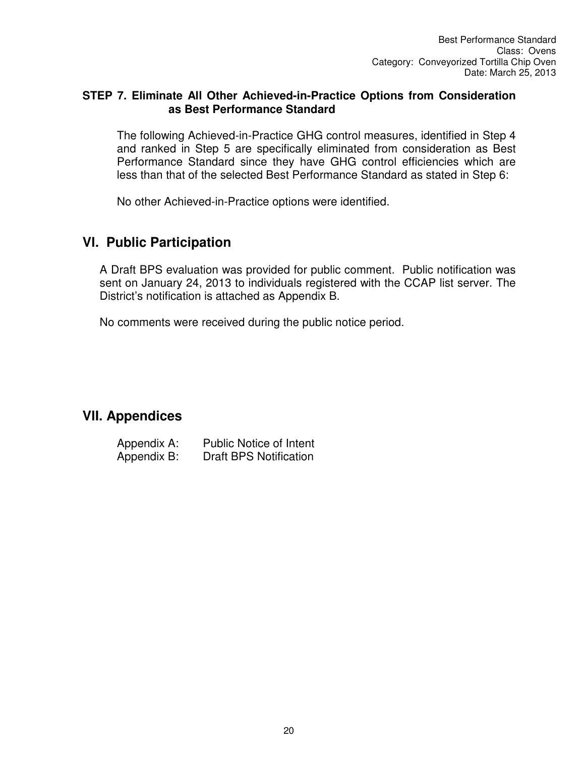## **STEP 7. Eliminate All Other Achieved-in-Practice Options from Consideration as Best Performance Standard**

The following Achieved-in-Practice GHG control measures, identified in Step 4 and ranked in Step 5 are specifically eliminated from consideration as Best Performance Standard since they have GHG control efficiencies which are less than that of the selected Best Performance Standard as stated in Step 6:

No other Achieved-in-Practice options were identified.

## **Vl. Public Participation**

A Draft BPS evaluation was provided for public comment. Public notification was sent on January 24, 2013 to individuals registered with the CCAP list server. The District's notification is attached as Appendix B.

No comments were received during the public notice period.

## **VlI. Appendices**

| Appendix A: | <b>Public Notice of Intent</b> |
|-------------|--------------------------------|
| Appendix B: | <b>Draft BPS Notification</b>  |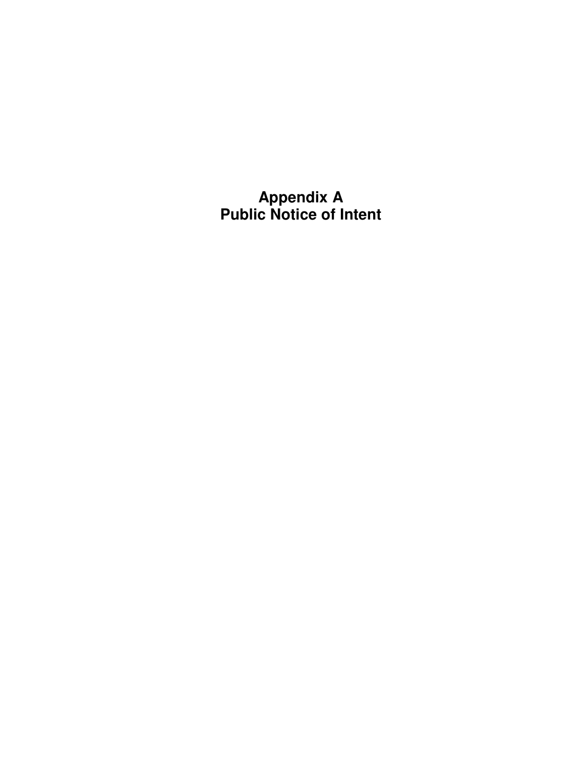**Appendix A Public Notice of Intent**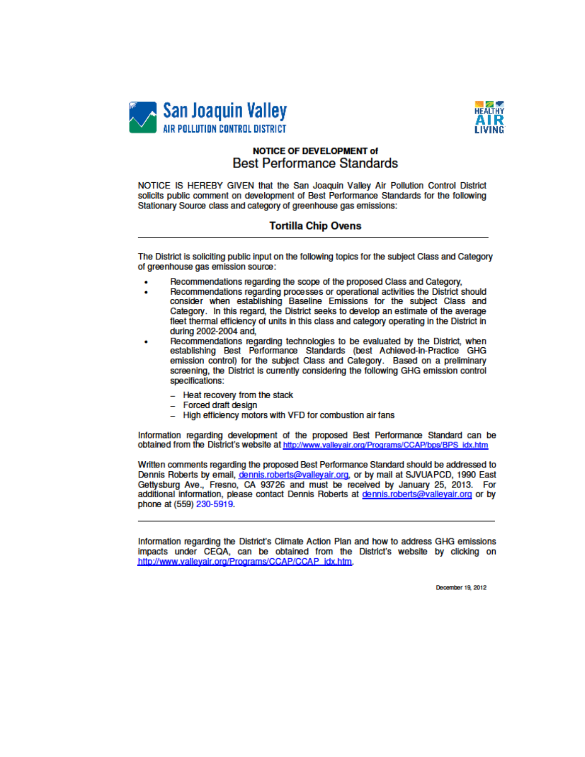



#### **NOTICE OF DEVELOPMENT of Best Performance Standards**

NOTICE IS HEREBY GIVEN that the San Joaquin Valley Air Pollution Control District solicits public comment on development of Best Performance Standards for the following Stationary Source class and category of greenhouse gas emissions:

#### **Tortilla Chip Ovens**

The District is soliciting public input on the following topics for the subject Class and Category of greenhouse gas emission source:

- Recommendations regarding the scope of the proposed Class and Category,
- Recommendations regarding processes or operational activities the District should consider when establishing Baseline Emissions for the subject Class and Category. In this regard, the District seeks to develop an estimate of the average fleet thermal efficiency of units in this class and category operating in the District in during 2002-2004 and,
- Recommendations regarding technologies to be evaluated by the District, when establishing Best Performance Standards (best Achieved-in-Practice GHG emission control) for the subject Class and Category. Based on a preliminary screening, the District is currently considering the following GHG emission control specifications:
	- Heat recovery from the stack
	- Forced draft design
	- High efficiency motors with VFD for combustion air fans

Information regarding development of the proposed Best Performance Standard can be obtained from the District's website at http://www.valleyair.org/Programs/CCAP/bps/BPS idx.htm

Written comments regarding the proposed Best Performance Standard should be addressed to Dennis Roberts by email, dennis.roberts@valleyair.org, or by mail at SJVUAPCD, 1990 East Gettysburg Ave., Fresno, CA 93726 and must be received by January 25, 2013. For additional information, please contact Dennis Roberts at dennis.roberts@valleyair.org or by phone at (559) 230-5919.

Information regarding the District's Climate Action Plan and how to address GHG emissions impacts under CEQA, can be obtained from the District's website by clicking on http://www.vallevair.org/Programs/CCAP/CCAP\_idx.htm.

December 19, 2012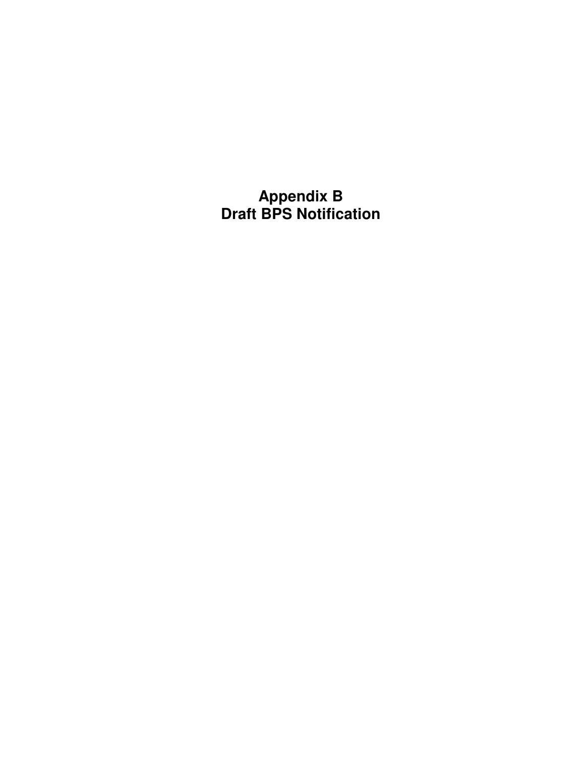**Appendix B Draft BPS Notification**